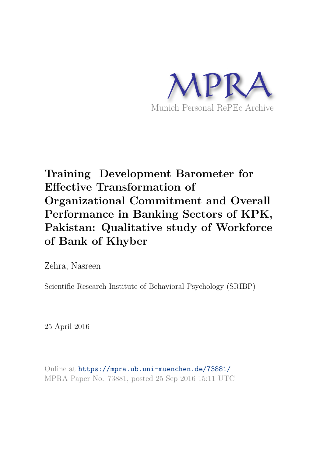

# **Training Development Barometer for Effective Transformation of Organizational Commitment and Overall Performance in Banking Sectors of KPK, Pakistan: Qualitative study of Workforce of Bank of Khyber**

Zehra, Nasreen

Scientific Research Institute of Behavioral Psychology (SRIBP)

25 April 2016

Online at https://mpra.ub.uni-muenchen.de/73881/ MPRA Paper No. 73881, posted 25 Sep 2016 15:11 UTC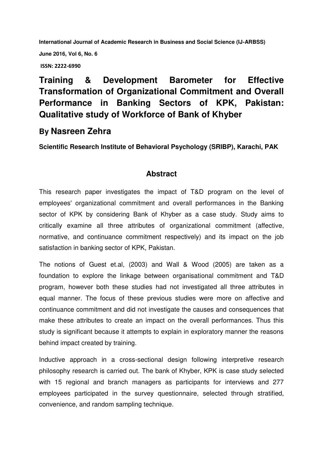**International Journal of Academic Research in Business and Social Science (IJ-ARBSS)** 

**June 2016, Vol 6, No. 6** 

 **ISSN: 2222-6990**

## **Training & Development Barometer for Effective Transformation of Organizational Commitment and Overall Performance in Banking Sectors of KPK, Pakistan: Qualitative study of Workforce of Bank of Khyber**

### **By Nasreen Zehra**

**Scientific Research Institute of Behavioral Psychology (SRIBP), Karachi, PAK**

#### **Abstract**

This research paper investigates the impact of T&D program on the level of employees' organizational commitment and overall performances in the Banking sector of KPK by considering Bank of Khyber as a case study. Study aims to critically examine all three attributes of organizational commitment (affective, normative, and continuance commitment respectively) and its impact on the job satisfaction in banking sector of KPK, Pakistan.

The notions of Guest et.al, (2003) and Wall & Wood (2005) are taken as a foundation to explore the linkage between organisational commitment and T&D program, however both these studies had not investigated all three attributes in equal manner. The focus of these previous studies were more on affective and continuance commitment and did not investigate the causes and consequences that make these attributes to create an impact on the overall performances. Thus this study is significant because it attempts to explain in exploratory manner the reasons behind impact created by training.

Inductive approach in a cross-sectional design following interpretive research philosophy research is carried out. The bank of Khyber, KPK is case study selected with 15 regional and branch managers as participants for interviews and 277 employees participated in the survey questionnaire, selected through stratified, convenience, and random sampling technique.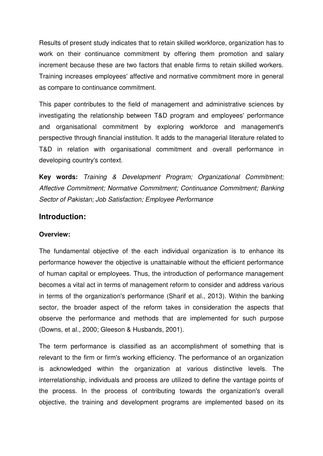Results of present study indicates that to retain skilled workforce, organization has to work on their continuance commitment by offering them promotion and salary increment because these are two factors that enable firms to retain skilled workers. Training increases employees' affective and normative commitment more in general as compare to continuance commitment.

This paper contributes to the field of management and administrative sciences by investigating the relationship between T&D program and employees' performance and organisational commitment by exploring workforce and management's perspective through financial institution. It adds to the managerial literature related to T&D in relation with organisational commitment and overall performance in developing country's context.

**Key words:** *Training & Development Program; Organizational Commitment; Affective Commitment; Normative Commitment; Continuance Commitment; Banking Sector of Pakistan; Job Satisfaction; Employee Performance* 

#### **Introduction:**

#### **Overview:**

The fundamental objective of the each individual organization is to enhance its performance however the objective is unattainable without the efficient performance of human capital or employees. Thus, the introduction of performance management becomes a vital act in terms of management reform to consider and address various in terms of the organization's performance (Sharif et al., 2013). Within the banking sector, the broader aspect of the reform takes in consideration the aspects that observe the performance and methods that are implemented for such purpose (Downs, et al., 2000; Gleeson & Husbands, 2001).

The term performance is classified as an accomplishment of something that is relevant to the firm or firm's working efficiency. The performance of an organization is acknowledged within the organization at various distinctive levels. The interrelationship, individuals and process are utilized to define the vantage points of the process. In the process of contributing towards the organization's overall objective, the training and development programs are implemented based on its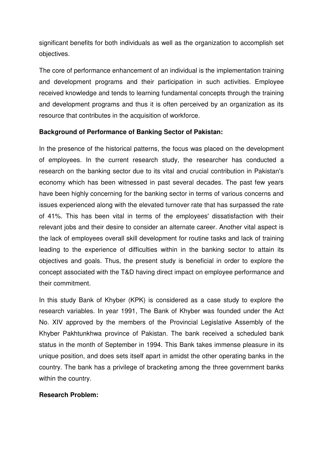significant benefits for both individuals as well as the organization to accomplish set objectives.

The core of performance enhancement of an individual is the implementation training and development programs and their participation in such activities. Employee received knowledge and tends to learning fundamental concepts through the training and development programs and thus it is often perceived by an organization as its resource that contributes in the acquisition of workforce.

#### **Background of Performance of Banking Sector of Pakistan:**

In the presence of the historical patterns, the focus was placed on the development of employees. In the current research study, the researcher has conducted a research on the banking sector due to its vital and crucial contribution in Pakistan's economy which has been witnessed in past several decades. The past few years have been highly concerning for the banking sector in terms of various concerns and issues experienced along with the elevated turnover rate that has surpassed the rate of 41%. This has been vital in terms of the employees' dissatisfaction with their relevant jobs and their desire to consider an alternate career. Another vital aspect is the lack of employees overall skill development for routine tasks and lack of training leading to the experience of difficulties within in the banking sector to attain its objectives and goals. Thus, the present study is beneficial in order to explore the concept associated with the T&D having direct impact on employee performance and their commitment.

In this study Bank of Khyber (KPK) is considered as a case study to explore the research variables. In year 1991, The Bank of Khyber was founded under the Act No. XIV approved by the members of the Provincial Legislative Assembly of the Khyber Pakhtunkhwa province of Pakistan. The bank received a scheduled bank status in the month of September in 1994. This Bank takes immense pleasure in its unique position, and does sets itself apart in amidst the other operating banks in the country. The bank has a privilege of bracketing among the three government banks within the country.

#### **Research Problem:**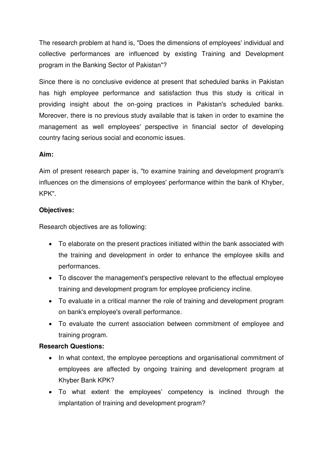The research problem at hand is, "Does the dimensions of employees' individual and collective performances are influenced by existing Training and Development program in the Banking Sector of Pakistan"?

Since there is no conclusive evidence at present that scheduled banks in Pakistan has high employee performance and satisfaction thus this study is critical in providing insight about the on-going practices in Pakistan's scheduled banks. Moreover, there is no previous study available that is taken in order to examine the management as well employees' perspective in financial sector of developing country facing serious social and economic issues.

#### **Aim:**

Aim of present research paper is, "to examine training and development program's influences on the dimensions of employees' performance within the bank of Khyber, KPK".

#### **Objectives:**

Research objectives are as following:

- To elaborate on the present practices initiated within the bank associated with the training and development in order to enhance the employee skills and performances.
- To discover the management's perspective relevant to the effectual employee training and development program for employee proficiency incline.
- To evaluate in a critical manner the role of training and development program on bank's employee's overall performance.
- To evaluate the current association between commitment of employee and training program.

#### **Research Questions:**

- In what context, the employee perceptions and organisational commitment of employees are affected by ongoing training and development program at Khyber Bank KPK?
- To what extent the employees' competency is inclined through the implantation of training and development program?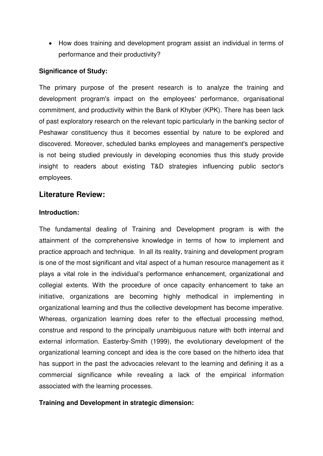• How does training and development program assist an individual in terms of performance and their productivity?

#### **Significance of Study:**

The primary purpose of the present research is to analyze the training and development program's impact on the employees' performance, organisational commitment, and productivity within the Bank of Khyber (KPK). There has been lack of past exploratory research on the relevant topic particularly in the banking sector of Peshawar constituency thus it becomes essential by nature to be explored and discovered. Moreover, scheduled banks employees and management's perspective is not being studied previously in developing economies thus this study provide insight to readers about existing T&D strategies influencing public sector's employees.

#### **Literature Review:**

#### **Introduction:**

The fundamental dealing of Training and Development program is with the attainment of the comprehensive knowledge in terms of how to implement and practice approach and technique. In all its reality, training and development program is one of the most significant and vital aspect of a human resource management as it plays a vital role in the individual's performance enhancement, organizational and collegial extents. With the procedure of once capacity enhancement to take an initiative, organizations are becoming highly methodical in implementing in organizational learning and thus the collective development has become imperative. Whereas, organization learning does refer to the effectual processing method, construe and respond to the principally unambiguous nature with both internal and external information. Easterby-Smith (1999), the evolutionary development of the organizational learning concept and idea is the core based on the hitherto idea that has support in the past the advocacies relevant to the learning and defining it as a commercial significance while revealing a lack of the empirical information associated with the learning processes.

#### **Training and Development in strategic dimension:**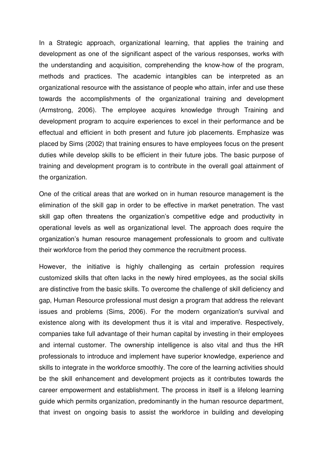In a Strategic approach, organizational learning, that applies the training and development as one of the significant aspect of the various responses, works with the understanding and acquisition, comprehending the know-how of the program, methods and practices. The academic intangibles can be interpreted as an organizational resource with the assistance of people who attain, infer and use these towards the accomplishments of the organizational training and development (Armstrong, 2006). The employee acquires knowledge through Training and development program to acquire experiences to excel in their performance and be effectual and efficient in both present and future job placements. Emphasize was placed by Sims (2002) that training ensures to have employees focus on the present duties while develop skills to be efficient in their future jobs. The basic purpose of training and development program is to contribute in the overall goal attainment of the organization.

One of the critical areas that are worked on in human resource management is the elimination of the skill gap in order to be effective in market penetration. The vast skill gap often threatens the organization's competitive edge and productivity in operational levels as well as organizational level. The approach does require the organization's human resource management professionals to groom and cultivate their workforce from the period they commence the recruitment process.

However, the initiative is highly challenging as certain profession requires customized skills that often lacks in the newly hired employees, as the social skills are distinctive from the basic skills. To overcome the challenge of skill deficiency and gap, Human Resource professional must design a program that address the relevant issues and problems (Sims, 2006). For the modern organization's survival and existence along with its development thus it is vital and imperative. Respectively, companies take full advantage of their human capital by investing in their employees and internal customer. The ownership intelligence is also vital and thus the HR professionals to introduce and implement have superior knowledge, experience and skills to integrate in the workforce smoothly. The core of the learning activities should be the skill enhancement and development projects as it contributes towards the career empowerment and establishment. The process in itself is a lifelong learning guide which permits organization, predominantly in the human resource department, that invest on ongoing basis to assist the workforce in building and developing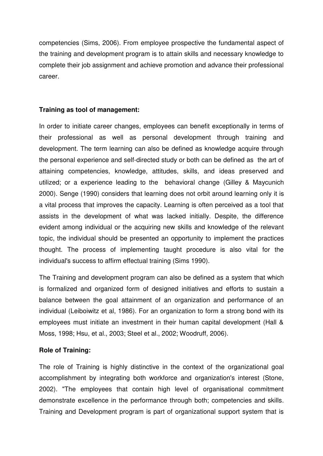competencies (Sims, 2006). From employee prospective the fundamental aspect of the training and development program is to attain skills and necessary knowledge to complete their job assignment and achieve promotion and advance their professional career.

#### **Training as tool of management:**

In order to initiate career changes, employees can benefit exceptionally in terms of their professional as well as personal development through training and development. The term learning can also be defined as knowledge acquire through the personal experience and self-directed study or both can be defined as the art of attaining competencies, knowledge, attitudes, skills, and ideas preserved and utilized; or a experience leading to the behavioral change (Gilley & Maycunich 2000). Senge (1990) considers that learning does not orbit around learning only it is a vital process that improves the capacity. Learning is often perceived as a tool that assists in the development of what was lacked initially. Despite, the difference evident among individual or the acquiring new skills and knowledge of the relevant topic, the individual should be presented an opportunity to implement the practices thought. The process of implementing taught procedure is also vital for the individual's success to affirm effectual training (Sims 1990).

The Training and development program can also be defined as a system that which is formalized and organized form of designed initiatives and efforts to sustain a balance between the goal attainment of an organization and performance of an individual (Leiboiwitz et al, 1986). For an organization to form a strong bond with its employees must initiate an investment in their human capital development (Hall & Moss, 1998; Hsu, et al., 2003; Steel et al., 2002; Woodruff, 2006).

#### **Role of Training:**

The role of Training is highly distinctive in the context of the organizational goal accomplishment by integrating both workforce and organization's interest (Stone, 2002). "The employees that contain high level of organisational commitment demonstrate excellence in the performance through both; competencies and skills. Training and Development program is part of organizational support system that is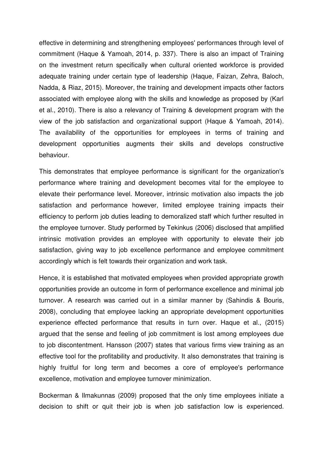effective in determining and strengthening employees' performances through level of commitment (Haque & Yamoah, 2014, p. 337). There is also an impact of Training on the investment return specifically when cultural oriented workforce is provided adequate training under certain type of leadership (Haque, Faizan, Zehra, Baloch, Nadda, & Riaz, 2015). Moreover, the training and development impacts other factors associated with employee along with the skills and knowledge as proposed by (Karl et al., 2010). There is also a relevancy of Training & development program with the view of the job satisfaction and organizational support (Haque & Yamoah, 2014). The availability of the opportunities for employees in terms of training and development opportunities augments their skills and develops constructive behaviour.

This demonstrates that employee performance is significant for the organization's performance where training and development becomes vital for the employee to elevate their performance level. Moreover, intrinsic motivation also impacts the job satisfaction and performance however, limited employee training impacts their efficiency to perform job duties leading to demoralized staff which further resulted in the employee turnover. Study performed by Tekinkus (2006) disclosed that amplified intrinsic motivation provides an employee with opportunity to elevate their job satisfaction, giving way to job excellence performance and employee commitment accordingly which is felt towards their organization and work task.

Hence, it is established that motivated employees when provided appropriate growth opportunities provide an outcome in form of performance excellence and minimal job turnover. A research was carried out in a similar manner by (Sahindis & Bouris, 2008), concluding that employee lacking an appropriate development opportunities experience effected performance that results in turn over. Haque et al., (2015) argued that the sense and feeling of job commitment is lost among employees due to job discontentment. Hansson (2007) states that various firms view training as an effective tool for the profitability and productivity. It also demonstrates that training is highly fruitful for long term and becomes a core of employee's performance excellence, motivation and employee turnover minimization.

Bockerman & Ilmakunnas (2009) proposed that the only time employees initiate a decision to shift or quit their job is when job satisfaction low is experienced.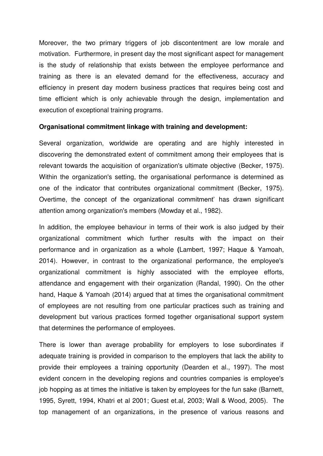Moreover, the two primary triggers of job discontentment are low morale and motivation. Furthermore, in present day the most significant aspect for management is the study of relationship that exists between the employee performance and training as there is an elevated demand for the effectiveness, accuracy and efficiency in present day modern business practices that requires being cost and time efficient which is only achievable through the design, implementation and execution of exceptional training programs.

#### **Organisational commitment linkage with training and development:**

Several organization, worldwide are operating and are highly interested in discovering the demonstrated extent of commitment among their employees that is relevant towards the acquisition of organization's ultimate objective (Becker, 1975). Within the organization's setting, the organisational performance is determined as one of the indicator that contributes organizational commitment (Becker, 1975). Overtime, the concept of the organizational commitment' has drawn significant attention among organization's members (Mowday et al., 1982).

In addition, the employee behaviour in terms of their work is also judged by their organizational commitment which further results with the impact on their performance and in organization as a whole **(**Lambert, 1997; Haque & Yamoah, 2014). However, in contrast to the organizational performance, the employee's organizational commitment is highly associated with the employee efforts, attendance and engagement with their organization (Randal, 1990). On the other hand, Haque & Yamoah (2014) argued that at times the organisational commitment of employees are not resulting from one particular practices such as training and development but various practices formed together organisational support system that determines the performance of employees.

There is lower than average probability for employers to lose subordinates if adequate training is provided in comparison to the employers that lack the ability to provide their employees a training opportunity (Dearden et al., 1997). The most evident concern in the developing regions and countries companies is employee's job hopping as at times the initiative is taken by employees for the fun sake (Barnett, 1995, Syrett, 1994, Khatri et al 2001; Guest et.al, 2003; Wall & Wood, 2005). The top management of an organizations, in the presence of various reasons and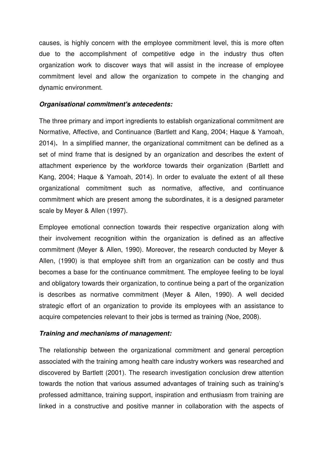causes, is highly concern with the employee commitment level, this is more often due to the accomplishment of competitive edge in the industry thus often organization work to discover ways that will assist in the increase of employee commitment level and allow the organization to compete in the changing and dynamic environment.

#### *Organisational commitment's antecedents:*

The three primary and import ingredients to establish organizational commitment are Normative, Affective, and Continuance (Bartlett and Kang, 2004; Haque & Yamoah, 2014)**.** In a simplified manner, the organizational commitment can be defined as a set of mind frame that is designed by an organization and describes the extent of attachment experience by the workforce towards their organization (Bartlett and Kang, 2004; Haque & Yamoah, 2014). In order to evaluate the extent of all these organizational commitment such as normative, affective, and continuance commitment which are present among the subordinates, it is a designed parameter scale by Meyer & Allen (1997).

Employee emotional connection towards their respective organization along with their involvement recognition within the organization is defined as an affective commitment (Meyer & Allen, 1990). Moreover, the research conducted by Meyer & Allen, (1990) is that employee shift from an organization can be costly and thus becomes a base for the continuance commitment. The employee feeling to be loyal and obligatory towards their organization, to continue being a part of the organization is describes as normative commitment (Meyer & Allen, 1990). A well decided strategic effort of an organization to provide its employees with an assistance to acquire competencies relevant to their jobs is termed as training (Noe, 2008).

#### *Training and mechanisms of management:*

The relationship between the organizational commitment and general perception associated with the training among health care industry workers was researched and discovered by Bartlett (2001). The research investigation conclusion drew attention towards the notion that various assumed advantages of training such as training's professed admittance, training support, inspiration and enthusiasm from training are linked in a constructive and positive manner in collaboration with the aspects of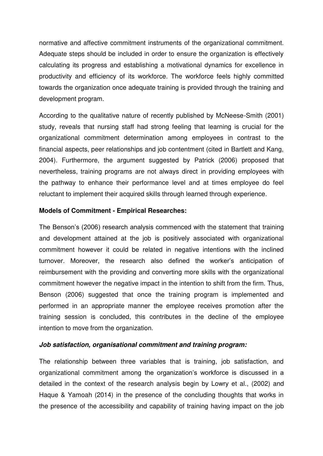normative and affective commitment instruments of the organizational commitment. Adequate steps should be included in order to ensure the organization is effectively calculating its progress and establishing a motivational dynamics for excellence in productivity and efficiency of its workforce. The workforce feels highly committed towards the organization once adequate training is provided through the training and development program.

According to the qualitative nature of recently published by McNeese-Smith (2001) study, reveals that nursing staff had strong feeling that learning is crucial for the organizational commitment determination among employees in contrast to the financial aspects, peer relationships and job contentment (cited in Bartlett and Kang, 2004). Furthermore, the argument suggested by Patrick (2006) proposed that nevertheless, training programs are not always direct in providing employees with the pathway to enhance their performance level and at times employee do feel reluctant to implement their acquired skills through learned through experience.

#### **Models of Commitment - Empirical Researches:**

The Benson's (2006) research analysis commenced with the statement that training and development attained at the job is positively associated with organizational commitment however it could be related in negative intentions with the inclined turnover. Moreover, the research also defined the worker's anticipation of reimbursement with the providing and converting more skills with the organizational commitment however the negative impact in the intention to shift from the firm. Thus, Benson (2006) suggested that once the training program is implemented and performed in an appropriate manner the employee receives promotion after the training session is concluded, this contributes in the decline of the employee intention to move from the organization.

#### *Job satisfaction, organisational commitment and training program:*

The relationship between three variables that is training, job satisfaction, and organizational commitment among the organization's workforce is discussed in a detailed in the context of the research analysis begin by Lowry et al., (2002) and Haque & Yamoah (2014) in the presence of the concluding thoughts that works in the presence of the accessibility and capability of training having impact on the job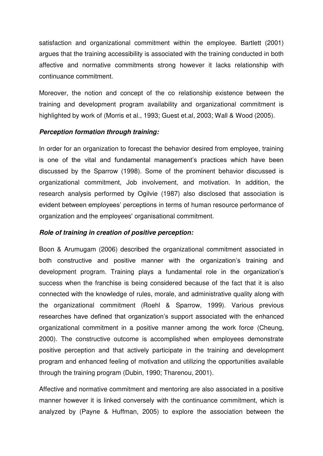satisfaction and organizational commitment within the employee. Bartlett (2001) argues that the training accessibility is associated with the training conducted in both affective and normative commitments strong however it lacks relationship with continuance commitment.

Moreover, the notion and concept of the co relationship existence between the training and development program availability and organizational commitment is highlighted by work of (Morris et al., 1993; Guest et.al, 2003; Wall & Wood (2005).

#### *Perception formation through training:*

In order for an organization to forecast the behavior desired from employee, training is one of the vital and fundamental management's practices which have been discussed by the Sparrow (1998). Some of the prominent behavior discussed is organizational commitment, Job involvement, and motivation. In addition, the research analysis performed by Ogilvie (1987) also disclosed that association is evident between employees' perceptions in terms of human resource performance of organization and the employees' organisational commitment.

#### *Role of training in creation of positive perception:*

Boon & Arumugam (2006) described the organizational commitment associated in both constructive and positive manner with the organization's training and development program. Training plays a fundamental role in the organization's success when the franchise is being considered because of the fact that it is also connected with the knowledge of rules, morale, and administrative quality along with the organizational commitment (Roehl & Sparrow, 1999). Various previous researches have defined that organization's support associated with the enhanced organizational commitment in a positive manner among the work force (Cheung, 2000). The constructive outcome is accomplished when employees demonstrate positive perception and that actively participate in the training and development program and enhanced feeling of motivation and utilizing the opportunities available through the training program (Dubin, 1990; Tharenou, 2001).

Affective and normative commitment and mentoring are also associated in a positive manner however it is linked conversely with the continuance commitment, which is analyzed by (Payne & Huffman, 2005) to explore the association between the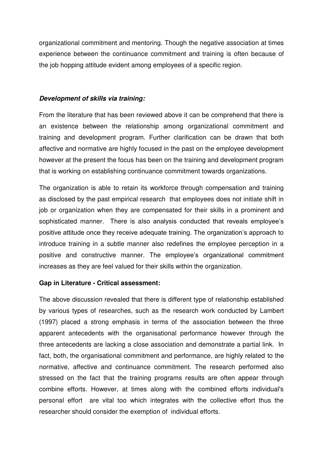organizational commitment and mentoring. Though the negative association at times experience between the continuance commitment and training is often because of the job hopping attitude evident among employees of a specific region.

#### *Development of skills via training:*

From the literature that has been reviewed above it can be comprehend that there is an existence between the relationship among organizational commitment and training and development program. Further clarification can be drawn that both affective and normative are highly focused in the past on the employee development however at the present the focus has been on the training and development program that is working on establishing continuance commitment towards organizations.

The organization is able to retain its workforce through compensation and training as disclosed by the past empirical research that employees does not initiate shift in job or organization when they are compensated for their skills in a prominent and sophisticated manner. There is also analysis conducted that reveals employee's positive attitude once they receive adequate training. The organization's approach to introduce training in a subtle manner also redefines the employee perception in a positive and constructive manner. The employee's organizational commitment increases as they are feel valued for their skills within the organization.

#### **Gap in Literature - Critical assessment:**

The above discussion revealed that there is different type of relationship established by various types of researches, such as the research work conducted by Lambert (1997) placed a strong emphasis in terms of the association between the three apparent antecedents with the organisational performance however through the three antecedents are lacking a close association and demonstrate a partial link. In fact, both, the organisational commitment and performance, are highly related to the normative, affective and continuance commitment. The research performed also stressed on the fact that the training programs results are often appear through combine efforts. However, at times along with the combined efforts individual's personal effort are vital too which integrates with the collective effort thus the researcher should consider the exemption of individual efforts.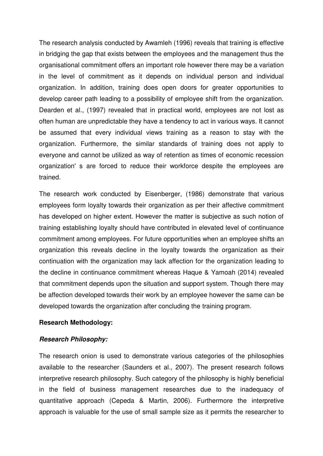The research analysis conducted by Awamleh (1996) reveals that training is effective in bridging the gap that exists between the employees and the management thus the organisational commitment offers an important role however there may be a variation in the level of commitment as it depends on individual person and individual organization. In addition, training does open doors for greater opportunities to develop career path leading to a possibility of employee shift from the organization. Dearden et al., (1997) revealed that in practical world, employees are not lost as often human are unpredictable they have a tendency to act in various ways. It cannot be assumed that every individual views training as a reason to stay with the organization. Furthermore, the similar standards of training does not apply to everyone and cannot be utilized as way of retention as times of economic recession organization' s are forced to reduce their workforce despite the employees are trained.

The research work conducted by Eisenberger, (1986) demonstrate that various employees form loyalty towards their organization as per their affective commitment has developed on higher extent. However the matter is subjective as such notion of training establishing loyalty should have contributed in elevated level of continuance commitment among employees. For future opportunities when an employee shifts an organization this reveals decline in the loyalty towards the organization as their continuation with the organization may lack affection for the organization leading to the decline in continuance commitment whereas Haque & Yamoah (2014) revealed that commitment depends upon the situation and support system. Though there may be affection developed towards their work by an employee however the same can be developed towards the organization after concluding the training program.

#### **Research Methodology:**

#### *Research Philosophy:*

The research onion is used to demonstrate various categories of the philosophies available to the researcher (Saunders et al., 2007). The present research follows interpretive research philosophy. Such category of the philosophy is highly beneficial in the field of business management researches due to the inadequacy of quantitative approach (Cepeda & Martin, 2006). Furthermore the interpretive approach is valuable for the use of small sample size as it permits the researcher to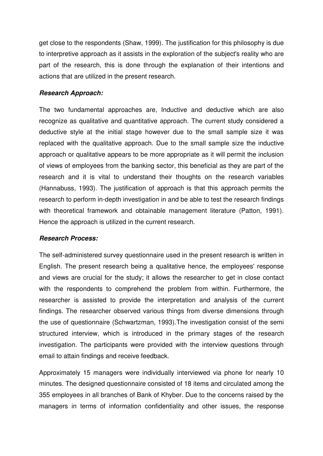get close to the respondents (Shaw, 1999). The justification for this philosophy is due to interpretive approach as it assists in the exploration of the subject's reality who are part of the research, this is done through the explanation of their intentions and actions that are utilized in the present research.

#### *Research Approach:*

The two fundamental approaches are, Inductive and deductive which are also recognize as qualitative and quantitative approach. The current study considered a deductive style at the initial stage however due to the small sample size it was replaced with the qualitative approach. Due to the small sample size the inductive approach or qualitative appears to be more appropriate as it will permit the inclusion of views of employees from the banking sector, this beneficial as they are part of the research and it is vital to understand their thoughts on the research variables (Hannabuss, 1993). The justification of approach is that this approach permits the research to perform in-depth investigation in and be able to test the research findings with theoretical framework and obtainable management literature (Patton, 1991). Hence the approach is utilized in the current research.

#### *Research Process:*

The self-administered survey questionnaire used in the present research is written in English. The present research being a qualitative hence, the employees' response and views are crucial for the study; it allows the researcher to get in close contact with the respondents to comprehend the problem from within. Furthermore, the researcher is assisted to provide the interpretation and analysis of the current findings. The researcher observed various things from diverse dimensions through the use of questionnaire (Schwartzman, 1993).The investigation consist of the semi structured interview, which is introduced in the primary stages of the research investigation. The participants were provided with the interview questions through email to attain findings and receive feedback.

Approximately 15 managers were individually interviewed via phone for nearly 10 minutes. The designed questionnaire consisted of 18 items and circulated among the 355 employees in all branches of Bank of Khyber. Due to the concerns raised by the managers in terms of information confidentiality and other issues, the response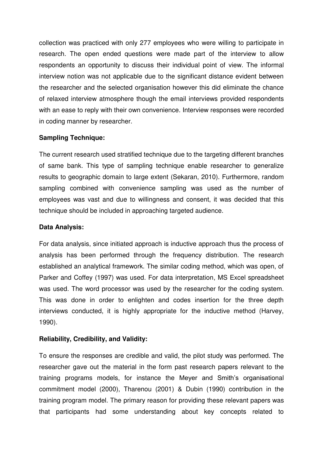collection was practiced with only 277 employees who were willing to participate in research. The open ended questions were made part of the interview to allow respondents an opportunity to discuss their individual point of view. The informal interview notion was not applicable due to the significant distance evident between the researcher and the selected organisation however this did eliminate the chance of relaxed interview atmosphere though the email interviews provided respondents with an ease to reply with their own convenience. Interview responses were recorded in coding manner by researcher.

#### **Sampling Technique:**

The current research used stratified technique due to the targeting different branches of same bank. This type of sampling technique enable researcher to generalize results to geographic domain to large extent (Sekaran, 2010). Furthermore, random sampling combined with convenience sampling was used as the number of employees was vast and due to willingness and consent, it was decided that this technique should be included in approaching targeted audience.

#### **Data Analysis:**

For data analysis, since initiated approach is inductive approach thus the process of analysis has been performed through the frequency distribution. The research established an analytical framework. The similar coding method, which was open, of Parker and Coffey (1997) was used. For data interpretation, MS Excel spreadsheet was used. The word processor was used by the researcher for the coding system. This was done in order to enlighten and codes insertion for the three depth interviews conducted, it is highly appropriate for the inductive method (Harvey, 1990).

#### **Reliability, Credibility, and Validity:**

To ensure the responses are credible and valid, the pilot study was performed. The researcher gave out the material in the form past research papers relevant to the training programs models, for instance the Meyer and Smith's organisational commitment model (2000), Tharenou (2001) & Dubin (1990) contribution in the training program model. The primary reason for providing these relevant papers was that participants had some understanding about key concepts related to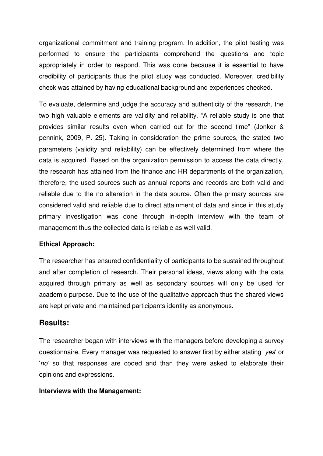organizational commitment and training program. In addition, the pilot testing was performed to ensure the participants comprehend the questions and topic appropriately in order to respond. This was done because it is essential to have credibility of participants thus the pilot study was conducted. Moreover, credibility check was attained by having educational background and experiences checked.

To evaluate, determine and judge the accuracy and authenticity of the research, the two high valuable elements are validity and reliability. "A reliable study is one that provides similar results even when carried out for the second time" (Jonker & pennink, 2009, P. 25). Taking in consideration the prime sources, the stated two parameters (validity and reliability) can be effectively determined from where the data is acquired. Based on the organization permission to access the data directly, the research has attained from the finance and HR departments of the organization, therefore, the used sources such as annual reports and records are both valid and reliable due to the no alteration in the data source. Often the primary sources are considered valid and reliable due to direct attainment of data and since in this study primary investigation was done through in-depth interview with the team of management thus the collected data is reliable as well valid.

#### **Ethical Approach:**

The researcher has ensured confidentiality of participants to be sustained throughout and after completion of research. Their personal ideas, views along with the data acquired through primary as well as secondary sources will only be used for academic purpose. Due to the use of the qualitative approach thus the shared views are kept private and maintained participants identity as anonymous.

#### **Results:**

The researcher began with interviews with the managers before developing a survey questionnaire. Every manager was requested to answer first by either stating '*yes*' or '*no*' so that responses are coded and than they were asked to elaborate their opinions and expressions.

#### **Interviews with the Management:**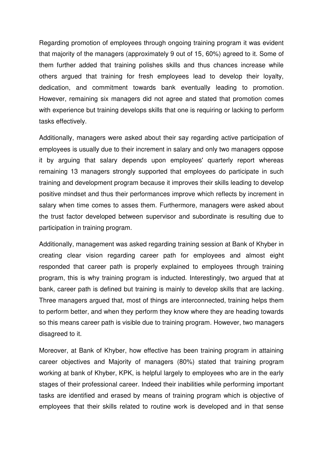Regarding promotion of employees through ongoing training program it was evident that majority of the managers (approximately 9 out of 15, 60%) agreed to it. Some of them further added that training polishes skills and thus chances increase while others argued that training for fresh employees lead to develop their loyalty, dedication, and commitment towards bank eventually leading to promotion. However, remaining six managers did not agree and stated that promotion comes with experience but training develops skills that one is requiring or lacking to perform tasks effectively.

Additionally, managers were asked about their say regarding active participation of employees is usually due to their increment in salary and only two managers oppose it by arguing that salary depends upon employees' quarterly report whereas remaining 13 managers strongly supported that employees do participate in such training and development program because it improves their skills leading to develop positive mindset and thus their performances improve which reflects by increment in salary when time comes to asses them. Furthermore, managers were asked about the trust factor developed between supervisor and subordinate is resulting due to participation in training program.

Additionally, management was asked regarding training session at Bank of Khyber in creating clear vision regarding career path for employees and almost eight responded that career path is properly explained to employees through training program, this is why training program is inducted. Interestingly, two argued that at bank, career path is defined but training is mainly to develop skills that are lacking. Three managers argued that, most of things are interconnected, training helps them to perform better, and when they perform they know where they are heading towards so this means career path is visible due to training program. However, two managers disagreed to it.

Moreover, at Bank of Khyber, how effective has been training program in attaining career objectives and Majority of managers (80%) stated that training program working at bank of Khyber, KPK, is helpful largely to employees who are in the early stages of their professional career. Indeed their inabilities while performing important tasks are identified and erased by means of training program which is objective of employees that their skills related to routine work is developed and in that sense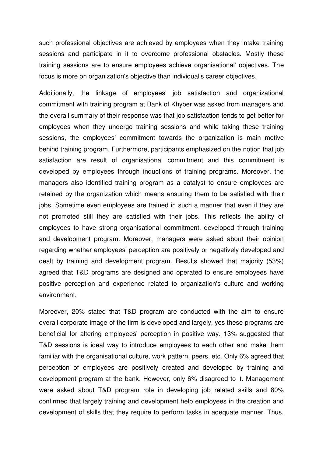such professional objectives are achieved by employees when they intake training sessions and participate in it to overcome professional obstacles. Mostly these training sessions are to ensure employees achieve organisational' objectives. The focus is more on organization's objective than individual's career objectives.

Additionally, the linkage of employees' job satisfaction and organizational commitment with training program at Bank of Khyber was asked from managers and the overall summary of their response was that job satisfaction tends to get better for employees when they undergo training sessions and while taking these training sessions, the employees' commitment towards the organization is main motive behind training program. Furthermore, participants emphasized on the notion that job satisfaction are result of organisational commitment and this commitment is developed by employees through inductions of training programs. Moreover, the managers also identified training program as a catalyst to ensure employees are retained by the organization which means ensuring them to be satisfied with their jobs. Sometime even employees are trained in such a manner that even if they are not promoted still they are satisfied with their jobs. This reflects the ability of employees to have strong organisational commitment, developed through training and development program. Moreover, managers were asked about their opinion regarding whether employees' perception are positively or negatively developed and dealt by training and development program. Results showed that majority (53%) agreed that T&D programs are designed and operated to ensure employees have positive perception and experience related to organization's culture and working environment.

Moreover, 20% stated that T&D program are conducted with the aim to ensure overall corporate image of the firm is developed and largely, yes these programs are beneficial for altering employees' perception in positive way. 13% suggested that T&D sessions is ideal way to introduce employees to each other and make them familiar with the organisational culture, work pattern, peers, etc. Only 6% agreed that perception of employees are positively created and developed by training and development program at the bank. However, only 6% disagreed to it. Management were asked about T&D program role in developing job related skills and 80% confirmed that largely training and development help employees in the creation and development of skills that they require to perform tasks in adequate manner. Thus,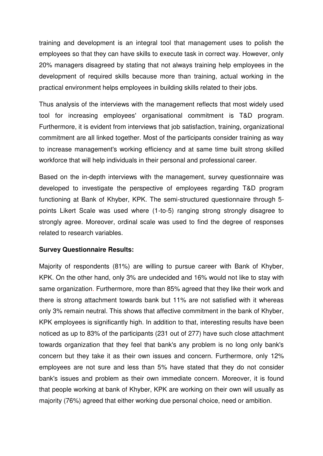training and development is an integral tool that management uses to polish the employees so that they can have skills to execute task in correct way. However, only 20% managers disagreed by stating that not always training help employees in the development of required skills because more than training, actual working in the practical environment helps employees in building skills related to their jobs.

Thus analysis of the interviews with the management reflects that most widely used tool for increasing employees' organisational commitment is T&D program. Furthermore, it is evident from interviews that job satisfaction, training, organizational commitment are all linked together. Most of the participants consider training as way to increase management's working efficiency and at same time built strong skilled workforce that will help individuals in their personal and professional career.

Based on the in-depth interviews with the management, survey questionnaire was developed to investigate the perspective of employees regarding T&D program functioning at Bank of Khyber, KPK. The semi-structured questionnaire through 5 points Likert Scale was used where (1-to-5) ranging strong strongly disagree to strongly agree. Moreover, ordinal scale was used to find the degree of responses related to research variables.

#### **Survey Questionnaire Results:**

Majority of respondents (81%) are willing to pursue career with Bank of Khyber, KPK. On the other hand, only 3% are undecided and 16% would not like to stay with same organization. Furthermore, more than 85% agreed that they like their work and there is strong attachment towards bank but 11% are not satisfied with it whereas only 3% remain neutral. This shows that affective commitment in the bank of Khyber, KPK employees is significantly high. In addition to that, interesting results have been noticed as up to 83% of the participants (231 out of 277) have such close attachment towards organization that they feel that bank's any problem is no long only bank's concern but they take it as their own issues and concern. Furthermore, only 12% employees are not sure and less than 5% have stated that they do not consider bank's issues and problem as their own immediate concern. Moreover, it is found that people working at bank of Khyber, KPK are working on their own will usually as majority (76%) agreed that either working due personal choice, need or ambition.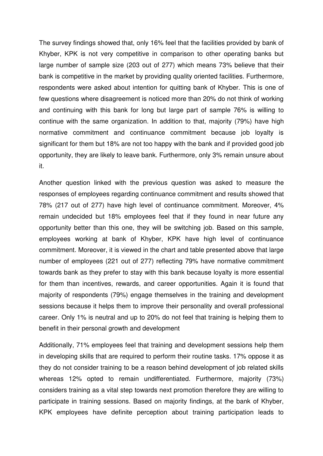The survey findings showed that, only 16% feel that the facilities provided by bank of Khyber, KPK is not very competitive in comparison to other operating banks but large number of sample size (203 out of 277) which means 73% believe that their bank is competitive in the market by providing quality oriented facilities. Furthermore, respondents were asked about intention for quitting bank of Khyber. This is one of few questions where disagreement is noticed more than 20% do not think of working and continuing with this bank for long but large part of sample 76% is willing to continue with the same organization. In addition to that, majority (79%) have high normative commitment and continuance commitment because job loyalty is significant for them but 18% are not too happy with the bank and if provided good job opportunity, they are likely to leave bank. Furthermore, only 3% remain unsure about it.

Another question linked with the previous question was asked to measure the responses of employees regarding continuance commitment and results showed that 78% (217 out of 277) have high level of continuance commitment. Moreover, 4% remain undecided but 18% employees feel that if they found in near future any opportunity better than this one, they will be switching job. Based on this sample, employees working at bank of Khyber, KPK have high level of continuance commitment. Moreover, it is viewed in the chart and table presented above that large number of employees (221 out of 277) reflecting 79% have normative commitment towards bank as they prefer to stay with this bank because loyalty is more essential for them than incentives, rewards, and career opportunities. Again it is found that majority of respondents (79%) engage themselves in the training and development sessions because it helps them to improve their personality and overall professional career. Only 1% is neutral and up to 20% do not feel that training is helping them to benefit in their personal growth and development

Additionally, 71% employees feel that training and development sessions help them in developing skills that are required to perform their routine tasks. 17% oppose it as they do not consider training to be a reason behind development of job related skills whereas 12% opted to remain undifferentiated. Furthermore, majority (73%) considers training as a vital step towards next promotion therefore they are willing to participate in training sessions. Based on majority findings, at the bank of Khyber, KPK employees have definite perception about training participation leads to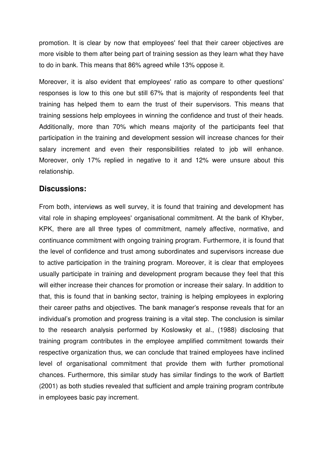promotion. It is clear by now that employees' feel that their career objectives are more visible to them after being part of training session as they learn what they have to do in bank. This means that 86% agreed while 13% oppose it.

Moreover, it is also evident that employees' ratio as compare to other questions' responses is low to this one but still 67% that is majority of respondents feel that training has helped them to earn the trust of their supervisors. This means that training sessions help employees in winning the confidence and trust of their heads. Additionally, more than 70% which means majority of the participants feel that participation in the training and development session will increase chances for their salary increment and even their responsibilities related to job will enhance. Moreover, only 17% replied in negative to it and 12% were unsure about this relationship.

#### **Discussions:**

From both, interviews as well survey, it is found that training and development has vital role in shaping employees' organisational commitment. At the bank of Khyber, KPK, there are all three types of commitment, namely affective, normative, and continuance commitment with ongoing training program. Furthermore, it is found that the level of confidence and trust among subordinates and supervisors increase due to active participation in the training program. Moreover, it is clear that employees usually participate in training and development program because they feel that this will either increase their chances for promotion or increase their salary. In addition to that, this is found that in banking sector, training is helping employees in exploring their career paths and objectives. The bank manager's response reveals that for an individual's promotion and progress training is a vital step. The conclusion is similar to the research analysis performed by Koslowsky et al., (1988) disclosing that training program contributes in the employee amplified commitment towards their respective organization thus, we can conclude that trained employees have inclined level of organisational commitment that provide them with further promotional chances. Furthermore, this similar study has similar findings to the work of Bartlett (2001) as both studies revealed that sufficient and ample training program contribute in employees basic pay increment.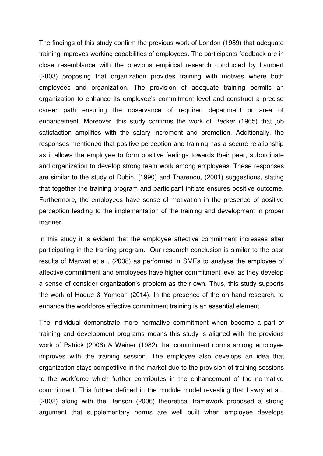The findings of this study confirm the previous work of London (1989) that adequate training improves working capabilities of employees. The participants feedback are in close resemblance with the previous empirical research conducted by Lambert (2003) proposing that organization provides training with motives where both employees and organization. The provision of adequate training permits an organization to enhance its employee's commitment level and construct a precise career path ensuring the observance of required department or area of enhancement. Moreover, this study confirms the work of Becker (1965) that job satisfaction amplifies with the salary increment and promotion. Additionally, the responses mentioned that positive perception and training has a secure relationship as it allows the employee to form positive feelings towards their peer, subordinate and organization to develop strong team work among employees. These responses are similar to the study of Dubin, (1990) and Tharenou, (2001) suggestions, stating that together the training program and participant initiate ensures positive outcome. Furthermore, the employees have sense of motivation in the presence of positive perception leading to the implementation of the training and development in proper manner.

In this study it is evident that the employee affective commitment increases after participating in the training program. Our research conclusion is similar to the past results of Marwat et al., (2008) as performed in SMEs to analyse the employee of affective commitment and employees have higher commitment level as they develop a sense of consider organization's problem as their own. Thus, this study supports the work of Haque & Yamoah (2014). In the presence of the on hand research, to enhance the workforce affective commitment training is an essential element.

The individual demonstrate more normative commitment when become a part of training and development programs means this study is aligned with the previous work of Patrick (2006) & Weiner (1982) that commitment norms among employee improves with the training session. The employee also develops an idea that organization stays competitive in the market due to the provision of training sessions to the workforce which further contributes in the enhancement of the normative commitment. This further defined in the module model revealing that Lawry et al., (2002) along with the Benson (2006) theoretical framework proposed a strong argument that supplementary norms are well built when employee develops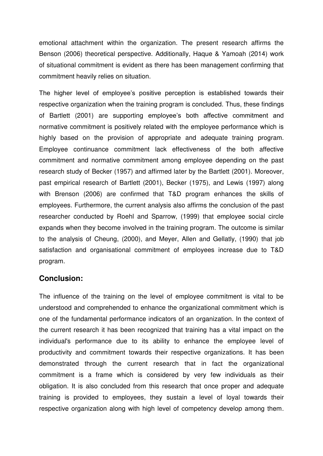emotional attachment within the organization. The present research affirms the Benson (2006) theoretical perspective. Additionally, Haque & Yamoah (2014) work of situational commitment is evident as there has been management confirming that commitment heavily relies on situation.

The higher level of employee's positive perception is established towards their respective organization when the training program is concluded. Thus, these findings of Bartlett (2001) are supporting employee's both affective commitment and normative commitment is positively related with the employee performance which is highly based on the provision of appropriate and adequate training program. Employee continuance commitment lack effectiveness of the both affective commitment and normative commitment among employee depending on the past research study of Becker (1957) and affirmed later by the Bartlett (2001). Moreover, past empirical research of Bartlett (2001), Becker (1975), and Lewis (1997) along with Brenson (2006) are confirmed that T&D program enhances the skills of employees. Furthermore, the current analysis also affirms the conclusion of the past researcher conducted by Roehl and Sparrow, (1999) that employee social circle expands when they become involved in the training program. The outcome is similar to the analysis of Cheung, (2000), and Meyer, Allen and Gellatly, (1990) that job satisfaction and organisational commitment of employees increase due to T&D program.

#### **Conclusion:**

The influence of the training on the level of employee commitment is vital to be understood and comprehended to enhance the organizational commitment which is one of the fundamental performance indicators of an organization. In the context of the current research it has been recognized that training has a vital impact on the individual's performance due to its ability to enhance the employee level of productivity and commitment towards their respective organizations. It has been demonstrated through the current research that in fact the organizational commitment is a frame which is considered by very few individuals as their obligation. It is also concluded from this research that once proper and adequate training is provided to employees, they sustain a level of loyal towards their respective organization along with high level of competency develop among them.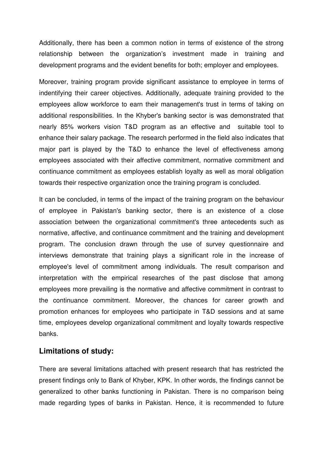Additionally, there has been a common notion in terms of existence of the strong relationship between the organization's investment made in training and development programs and the evident benefits for both; employer and employees.

Moreover, training program provide significant assistance to employee in terms of indentifying their career objectives. Additionally, adequate training provided to the employees allow workforce to earn their management's trust in terms of taking on additional responsibilities. In the Khyber's banking sector is was demonstrated that nearly 85% workers vision T&D program as an effective and suitable tool to enhance their salary package. The research performed in the field also indicates that major part is played by the T&D to enhance the level of effectiveness among employees associated with their affective commitment, normative commitment and continuance commitment as employees establish loyalty as well as moral obligation towards their respective organization once the training program is concluded.

It can be concluded, in terms of the impact of the training program on the behaviour of employee in Pakistan's banking sector, there is an existence of a close association between the organizational commitment's three antecedents such as normative, affective, and continuance commitment and the training and development program. The conclusion drawn through the use of survey questionnaire and interviews demonstrate that training plays a significant role in the increase of employee's level of commitment among individuals. The result comparison and interpretation with the empirical researches of the past disclose that among employees more prevailing is the normative and affective commitment in contrast to the continuance commitment. Moreover, the chances for career growth and promotion enhances for employees who participate in T&D sessions and at same time, employees develop organizational commitment and loyalty towards respective banks.

#### **Limitations of study:**

There are several limitations attached with present research that has restricted the present findings only to Bank of Khyber, KPK. In other words, the findings cannot be generalized to other banks functioning in Pakistan. There is no comparison being made regarding types of banks in Pakistan. Hence, it is recommended to future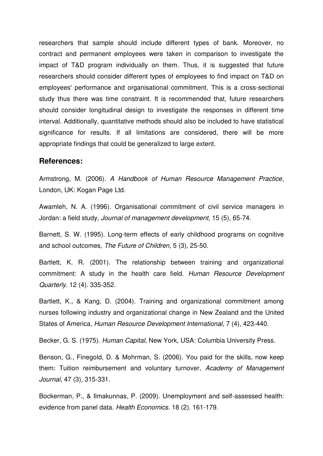researchers that sample should include different types of bank. Moreover, no contract and permanent employees were taken in comparison to investigate the impact of T&D program individually on them. Thus, it is suggested that future researchers should consider different types of employees to find impact on T&D on employees' performance and organisational commitment. This is a cross-sectional study thus there was time constraint. It is recommended that, future researchers should consider longitudinal design to investigate the responses in different time interval. Additionally, quantitative methods should also be included to have statistical significance for results. If all limitations are considered, there will be more appropriate findings that could be generalized to large extent.

#### **References:**

Armstrong, M. (2006). *A Handbook of Human Resource Management Practice*, London, UK: Kogan Page Ltd.

Awamleh, N. A. (1996). Organisational commitment of civil service managers in Jordan: a field study, *Journal of management development*, 15 (5), 65-74.

Barnett, S. W. (1995). Long-term effects of early childhood programs on cognitive and school outcomes, *The Future of Children*, 5 (3), 25-50.

Bartlett, K. R. (2001). The relationship between training and organizational commitment: A study in the health care field. *Human Resource Development Quarterly*. 12 (4). 335-352.

Bartlett, K., & Kang, D. (2004). Training and organizational commitment among nurses following industry and organizational change in New Zealand and the United States of America, *Human Resource Development International*, 7 (4), 423-440.

Becker, G. S. (1975). *Human Capital*, New York, USA: Columbia University Press.

Benson, G., Finegold, D. & Mohrman, S. (2006). You paid for the skills, now keep them: Tuition reimbursement and voluntary turnover, *Academy of Management Journal*, 47 (3), 315-331.

Bockerman, P., & Ilmakunnas, P. (2009). Unemployment and self-assessed health: evidence from panel data. *Health Economics*. 18 (2). 161-179.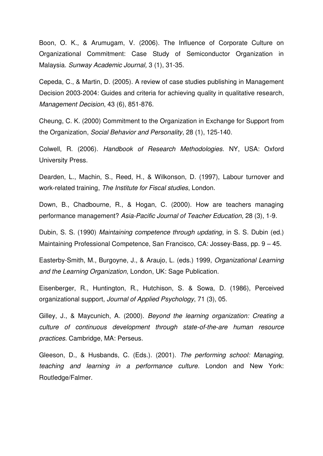Boon, O. K., & Arumugam, V. (2006). The Influence of Corporate Culture on Organizational Commitment: Case Study of Semiconductor Organization in Malaysia. *Sunway Academic Journal,* 3 (1), 31-35.

Cepeda, C., & Martin, D. (2005). A review of case studies publishing in Management Decision 2003-2004: Guides and criteria for achieving quality in qualitative research, *Management Decision*, 43 (6), 851-876.

Cheung, C. K. (2000) Commitment to the Organization in Exchange for Support from the Organization, *Social Behavior and Personality*, 28 (1), 125-140.

Colwell, R. (2006). *Handbook of Research Methodologies*. NY, USA: Oxford University Press.

Dearden, L., Machin, S., Reed, H., & Wilkonson, D. (1997), Labour turnover and work-related training, *The Institute for Fiscal studies*, London.

Down, B., Chadbourne, R., & Hogan, C. (2000). How are teachers managing performance management? *Asia-Pacific Journal of Teacher Education*, 28 (3), 1-9.

Dubin, S. S. (1990) *Maintaining competence through updating*, in S. S. Dubin (ed.) Maintaining Professional Competence, San Francisco, CA: Jossey-Bass, pp. 9 – 45.

Easterby-Smith, M., Burgoyne, J., & Araujo, L. (eds.) 1999, *Organizational Learning and the Learning Organization*, London, UK: Sage Publication.

Eisenberger, R., Huntington, R., Hutchison, S. & Sowa, D. (1986), Perceived organizational support, *Journal of Applied Psychology*, 71 (3), 05.

Gilley, J., & Maycunich, A. (2000). *Beyond the learning organization: Creating a culture of continuous development through state-of-the-are human resource practices*. Cambridge, MA: Perseus.

Gleeson, D., & Husbands, C. (Eds.). (2001). *The performing school: Managing, teaching and learning in a performance culture*. London and New York: Routledge/Falmer.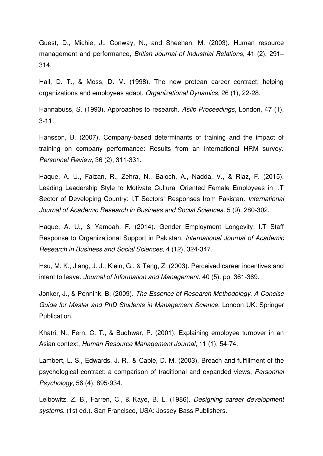Guest, D., Michie, J., Conway, N., and Sheehan, M. (2003). Human resource management and performance, *British Journal of Industrial Relations*, 41 (2), 291– 314.

Hall, D. T., & Moss, D. M. (1998). The new protean career contract; helping organizations and employees adapt. *Organizational Dynamics*, 26 (1), 22-28.

Hannabuss, S. (1993). Approaches to research. *Aslib Proceedings*, London, 47 (1), 3-11.

Hansson, B. (2007). Company-based determinants of training and the impact of training on company performance: Results from an international HRM survey. *Personnel Review*, 36 (2), 311-331.

Haque, A. U., Faizan, R., Zehra, N., Baloch, A., Nadda, V., & Riaz, F. (2015). Leading Leadership Style to Motivate Cultural Oriented Female Employees in I.T Sector of Developing Country: I.T Sectors' Responses from Pakistan. *International Journal of Academic Research in Business and Social Sciences*. 5 (9). 280-302.

Haque, A. U., & Yamoah, F. (2014). Gender Employment Longevity: I.T Staff Response to Organizational Support in Pakistan, *International Journal of Academic Research in Business and Social Sciences*, 4 (12), 324-347.

Hsu, M. K., Jiang, J. J., Klein, G., & Tang, Z. (2003). Perceived career incentives and intent to leave. *Journal of Information and Management*. 40 (5). pp. 361-369.

Jonker, J., & Pennink, B. (2009). *The Essence of Research Methodology. A Concise Guide for Master and PhD Students in Management Science*. London UK: Springer Publication.

Khatri, N., Fern, C. T., & Budhwar, P. (2001), Explaining employee turnover in an Asian context, *Human Resource Management Journal*, 11 (1), 54-74.

Lambert, L. S., Edwards, J. R., & Cable, D. M. (2003), Breach and fulfillment of the psychological contract: a comparison of traditional and expanded views, *Personnel Psychology*, 56 (4), 895-934.

Leibowitz, Z. B., Farren, C., & Kaye, B. L. (1986). *Designing career development systems*. (1st ed.). San Francisco, USA: Jossey-Bass Publishers.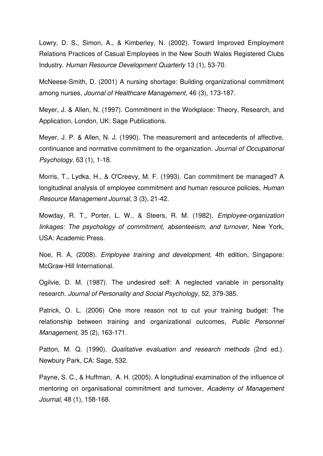Lowry, D. S., Simon, A., & Kimberley, N. (2002). Toward Improved Employment Relations Practices of Casual Employees in the New South Wales Registered Clubs Industry. *Human Resource Development Quarterly* 13 (1), 53-70.

McNeese-Smith, D. (2001) A nursing shortage: Building organizational commitment among nurses, *Journal of Healthcare Management*, 46 (3), 173-187.

Meyer, J. & Allen, N. (1997). Commitment in the Workplace: Theory, Research, and Application, London, UK: Sage Publications.

Meyer, J. P. & Allen, N. J. (1990). The measurement and antecedents of affective, continuance and normative commitment to the organization. *Journal of Occupational Psychology*. 63 (1), 1-18.

Morris, T., Lydka, H., & O'Creevy, M. F. (1993). Can commitment be managed? A longitudinal analysis of employee commitment and human resource policies, *Human Resource Management Journal*, 3 (3), 21-42.

Mowday, R. T., Porter, L. W., & Steers, R. M. (1982), *Employee-organization linkages: The psychology of commitment, absenteeism, and turnover*, New York, USA: Academic Press.

Noe, R. A, (2008). *Employee training and development*, 4th edition, Singapore: McGraw-Hill International.

Ogilvie, D. M. (1987). The undesired self: A neglected variable in personality research. *Journal of Personality and Social Psychology*, 52, 379-385.

Patrick, O. L. (2006) One more reason not to cut your training budget: The relationship between training and organizational outcomes, *Public Personnel Management*, 35 (2), 163-171.

Patton, M. Q. (1990). *Qualitative evaluation and research methods* (2nd ed.). Newbury Park, CA: Sage, 532.

Payne, S. C., & Huffman, A. H. (2005). A longitudinal examination of the influence of mentoring on organisational commitment and turnover, *Academy of Management Journal*, 48 (1), 158-168.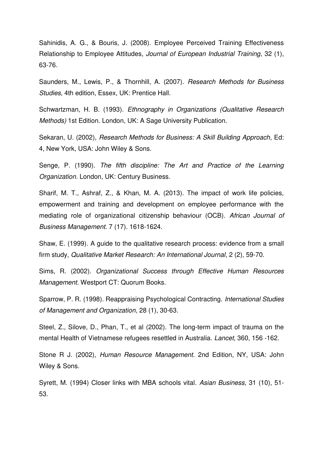Sahinidis, A. G., & Bouris, J. (2008). Employee Perceived Training Effectiveness Relationship to Employee Attitudes, *Journal of European Industrial Training*, 32 (1), 63-76.

Saunders, M., Lewis, P., & Thornhill, A. (2007). *Research Methods for Business Studies*, 4th edition, Essex, UK: Prentice Hall.

Schwartzman, H. B. (1993). *Ethnography in Organizations (Qualitative Research Methods)* 1st Edition. London, UK: A Sage University Publication.

Sekaran, U. (2002), *Research Methods for Business: A Skill Building Approach*, Ed: 4, New York, USA: John Wiley & Sons.

Senge, P. (1990). *The fifth discipline: The Art and Practice of the Learning Organization.* London, UK: Century Business.

Sharif, M. T., Ashraf, Z., & Khan, M. A. (2013). The impact of work life policies, empowerment and training and development on employee performance with the mediating role of organizational citizenship behaviour (OCB). *African Journal of Business Management*. 7 (17). 1618-1624.

Shaw, E. (1999). A guide to the qualitative research process: evidence from a small firm study, *Qualitative Market Research: An International Journal*, 2 (2), 59-70.

Sims, R. (2002). *Organizational Success through Effective Human Resources Management.* Westport CT: Quorum Books.

Sparrow, P. R. (1998). Reappraising Psychological Contracting. *International Studies of Management and Organization*, 28 (1), 30-63.

Steel, Z., Silove, D., Phan, T., et al (2002). The long-term impact of trauma on the mental Health of Vietnamese refugees resettled in Australia. *Lancet*, 360, 156 -162.

Stone R J. (2002), *Human Resource Management*. 2nd Edition, NY, USA: John Wiley & Sons.

Syrett, M. (1994) Closer links with MBA schools vital. *Asian Business*, 31 (10), 51- 53.